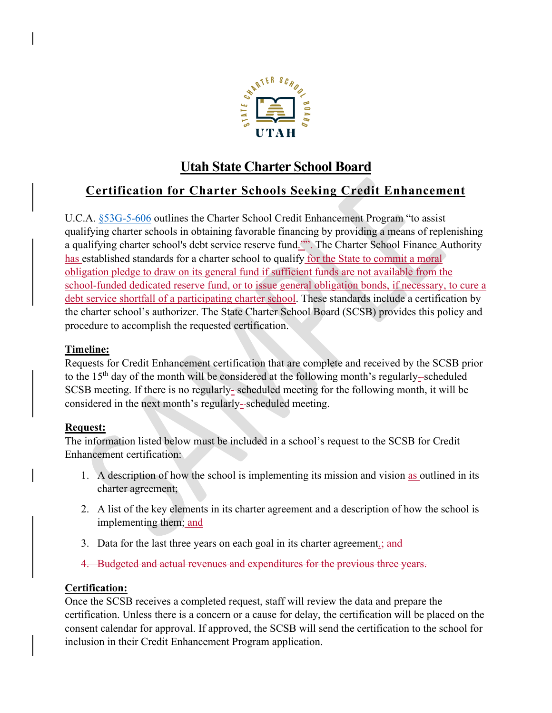

# **Utah State Charter School Board**

# **Certification for Charter Schools Seeking Credit Enhancement**

U.C.A. [§53G-5-606](https://le.utah.gov/xcode/Title53G/Chapter5/53G-5-S606.html) outlines the Charter School Credit Enhancement Program "to assist qualifying charter schools in obtaining favorable financing by providing a means of replenishing a qualifying charter school's debt service reserve fund."". The Charter School Finance Authority has established standards for a charter school to qualify for the State to commit a moral obligation pledge to draw on its general fund if sufficient funds are not available from the school-funded dedicated reserve fund, or to issue general obligation bonds, if necessary, to cure a debt service shortfall of a participating charter school. These standards include a certification by the charter school's authorizer. The State Charter School Board (SCSB) provides this policy and procedure to accomplish the requested certification.

## **Timeline:**

Requests for Credit Enhancement certification that are complete and received by the SCSB prior to the 15<sup>th</sup> day of the month will be considered at the following month's regularly--scheduled SCSB meeting. If there is no regularly- scheduled meeting for the following month, it will be considered in the next month's regularly-scheduled meeting.

### **Request:**

The information listed below must be included in a school's request to the SCSB for Credit Enhancement certification:

- 1. A description of how the school is implementing its mission and vision as outlined in its charter agreement;
- 2. A list of the key elements in its charter agreement and a description of how the school is implementing them; and
- 3. Data for the last three years on each goal in its charter agreement.
- 4. Budgeted and actual revenues and expenditures for the previous three years.

### **Certification:**

Once the SCSB receives a completed request, staff will review the data and prepare the certification. Unless there is a concern or a cause for delay, the certification will be placed on the consent calendar for approval. If approved, the SCSB will send the certification to the school for inclusion in their Credit Enhancement Program application.